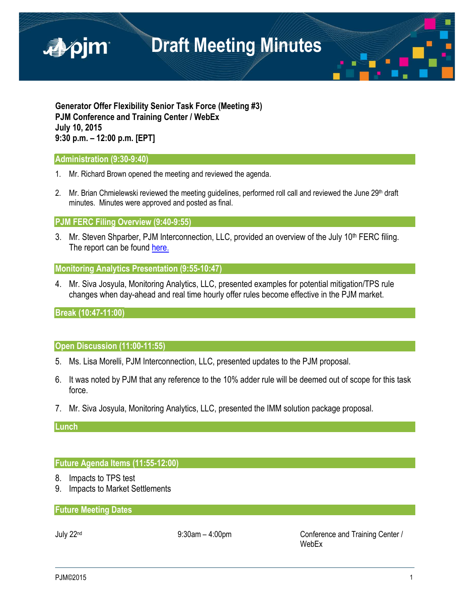

**Generator Offer Flexibility Senior Task Force (Meeting #3) PJM Conference and Training Center / WebEx July 10, 2015 9:30 p.m. – 12:00 p.m. [EPT]**

### **Administration (9:30-9:40)**

- 1. Mr. Richard Brown opened the meeting and reviewed the agenda.
- 2. Mr. Brian Chmielewski reviewed the meeting guidelines, performed roll call and reviewed the June 29<sup>th</sup> draft minutes. Minutes were approved and posted as final.

### **PJM FERC Filing Overview (9:40-9:55)**

3. Mr. Steven Shparber, PJM Interconnection, LLC, provided an overview of the July 10<sup>th</sup> FERC filing. The report can be found [here.](http://www.pjm.com/%7E/media/committees-groups/task-forces/gofstf/postings/20150710-el15-73-000.ashx)

## **Monitoring Analytics Presentation (9:55-10:47)**

4. Mr. Siva Josyula, Monitoring Analytics, LLC, presented examples for potential mitigation/TPS rule changes when day-ahead and real time hourly offer rules become effective in the PJM market.

## **Break (10:47-11:00)**

## **Open Discussion (11:00-11:55)**

- 5. Ms. Lisa Morelli, PJM Interconnection, LLC, presented updates to the PJM proposal.
- 6. It was noted by PJM that any reference to the 10% adder rule will be deemed out of scope for this task force.
- 7. Mr. Siva Josyula, Monitoring Analytics, LLC, presented the IMM solution package proposal.

### **Lunch**

## **Future Agenda Items (11:55-12:00)**

- 8. Impacts to TPS test
- 9. Impacts to Market Settlements

## **Future Meeting Dates**

July 22nd 9:30am – 4:00pm Conference and Training Center / WebEx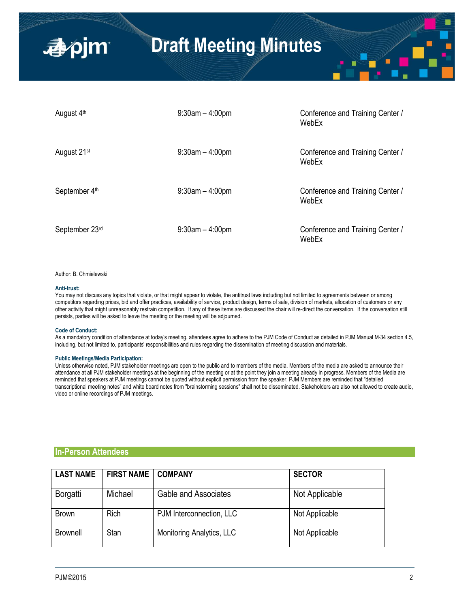| August 4th              | $9:30$ am $-4:00$ pm | Conference and Training Center /<br>WebEx |
|-------------------------|----------------------|-------------------------------------------|
| August 21 <sup>st</sup> | $9:30$ am $-4:00$ pm | Conference and Training Center /<br>WebEx |
| September 4th           | $9:30$ am $-4:00$ pm | Conference and Training Center /<br>WebEx |
| September 23rd          | $9:30$ am $-4:00$ pm | Conference and Training Center /<br>WebEx |

#### Author: B. Chmielewski

■pjm

#### **Anti-trust:**

You may not discuss any topics that violate, or that might appear to violate, the antitrust laws including but not limited to agreements between or among competitors regarding prices, bid and offer practices, availability of service, product design, terms of sale, division of markets, allocation of customers or any other activity that might unreasonably restrain competition. If any of these items are discussed the chair will re-direct the conversation. If the conversation still persists, parties will be asked to leave the meeting or the meeting will be adjourned.

#### **Code of Conduct:**

As a mandatory condition of attendance at today's meeting, attendees agree to adhere to the PJM Code of Conduct as detailed in PJM Manual M-34 section 4.5, including, but not limited to, participants' responsibilities and rules regarding the dissemination of meeting discussion and materials.

#### **Public Meetings/Media Participation:**

Unless otherwise noted, PJM stakeholder meetings are open to the public and to members of the media. Members of the media are asked to announce their attendance at all PJM stakeholder meetings at the beginning of the meeting or at the point they join a meeting already in progress. Members of the Media are reminded that speakers at PJM meetings cannot be quoted without explicit permission from the speaker. PJM Members are reminded that "detailed transcriptional meeting notes" and white board notes from "brainstorming sessions" shall not be disseminated. Stakeholders are also not allowed to create audio, video or online recordings of PJM meetings.

### **In-Person Attendees**

| <b>LAST NAME</b> | <b>FIRST NAME</b> | <b>COMPANY</b>            | <b>SECTOR</b>  |
|------------------|-------------------|---------------------------|----------------|
| Borgatti         | Michael           | Gable and Associates      | Not Applicable |
| <b>Brown</b>     | <b>Rich</b>       | PJM Interconnection, LLC  | Not Applicable |
| <b>Brownell</b>  | Stan              | Monitoring Analytics, LLC | Not Applicable |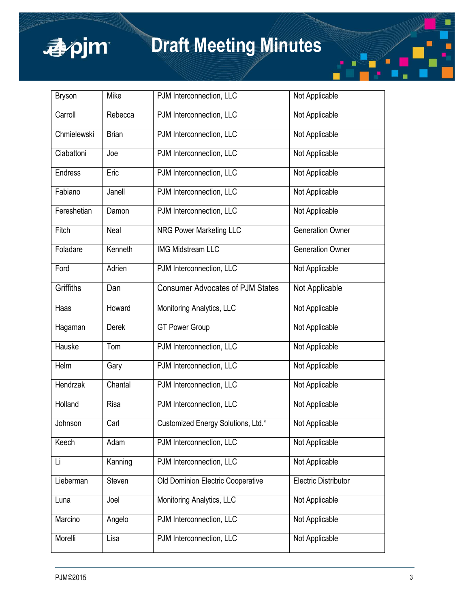

| <b>Bryson</b>   | Mike         | PJM Interconnection, LLC                | Not Applicable              |
|-----------------|--------------|-----------------------------------------|-----------------------------|
| Carroll         | Rebecca      | PJM Interconnection, LLC                | Not Applicable              |
| Chmielewski     | <b>Brian</b> | PJM Interconnection, LLC                | Not Applicable              |
| Ciabattoni      | Joe          | PJM Interconnection, LLC                | Not Applicable              |
| <b>Endress</b>  | Eric         | PJM Interconnection, LLC                | Not Applicable              |
| Fabiano         | Janell       | PJM Interconnection, LLC                | Not Applicable              |
| Fereshetian     | Damon        | PJM Interconnection, LLC                | Not Applicable              |
| Fitch           | Neal         | <b>NRG Power Marketing LLC</b>          | <b>Generation Owner</b>     |
| Foladare        | Kenneth      | <b>IMG Midstream LLC</b>                | <b>Generation Owner</b>     |
| Ford            | Adrien       | PJM Interconnection, LLC                | Not Applicable              |
| Griffiths       | Dan          | <b>Consumer Advocates of PJM States</b> | Not Applicable              |
| Haas            | Howard       | Monitoring Analytics, LLC               | Not Applicable              |
| Hagaman         | Derek        | <b>GT Power Group</b>                   | Not Applicable              |
| Hauske          | Tom          | PJM Interconnection, LLC                | Not Applicable              |
| Helm            | Gary         | PJM Interconnection, LLC                | Not Applicable              |
| <b>Hendrzak</b> | Chantal      | PJM Interconnection, LLC                | Not Applicable              |
| Holland         | Risa         | PJM Interconnection, LLC                | Not Applicable              |
| Johnson         | Carl         | Customized Energy Solutions, Ltd.*      | Not Applicable              |
| Keech           | Adam         | PJM Interconnection, LLC                | Not Applicable              |
| Li              | Kanning      | PJM Interconnection, LLC                | Not Applicable              |
| Lieberman       | Steven       | Old Dominion Electric Cooperative       | <b>Electric Distributor</b> |
| Luna            | Joel         | Monitoring Analytics, LLC               | Not Applicable              |
| Marcino         | Angelo       | PJM Interconnection, LLC                | Not Applicable              |
| Morelli         | Lisa         | PJM Interconnection, LLC                | Not Applicable              |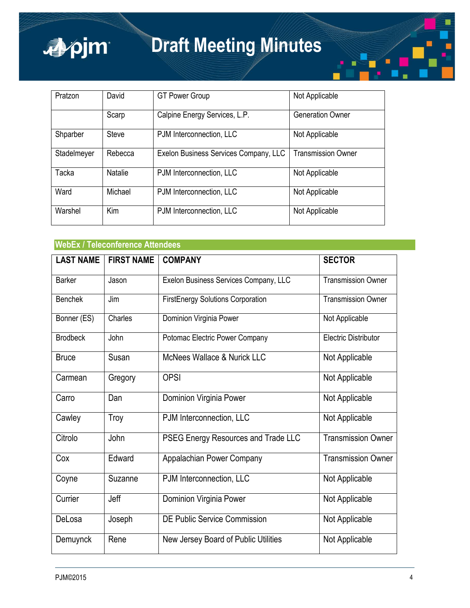

| Pratzon     | David          | <b>GT Power Group</b>                 | Not Applicable            |
|-------------|----------------|---------------------------------------|---------------------------|
|             | Scarp          | Calpine Energy Services, L.P.         | <b>Generation Owner</b>   |
| Shparber    | Steve          | PJM Interconnection, LLC              | Not Applicable            |
| Stadelmeyer | Rebecca        | Exelon Business Services Company, LLC | <b>Transmission Owner</b> |
| Tacka       | <b>Natalie</b> | PJM Interconnection, LLC              | Not Applicable            |
| Ward        | Michael        | PJM Interconnection, LLC              | Not Applicable            |
| Warshel     | Kim            | PJM Interconnection, LLC              | Not Applicable            |

## **WebEx / Teleconference Attendees**

| <b>LAST NAME</b> | <b>FIRST NAME</b> | <b>COMPANY</b>                           | <b>SECTOR</b>               |
|------------------|-------------------|------------------------------------------|-----------------------------|
| <b>Barker</b>    | Jason             | Exelon Business Services Company, LLC    | <b>Transmission Owner</b>   |
| <b>Benchek</b>   | Jim               | <b>FirstEnergy Solutions Corporation</b> | <b>Transmission Owner</b>   |
| Bonner (ES)      | Charles           | Dominion Virginia Power                  | Not Applicable              |
| <b>Brodbeck</b>  | John              | Potomac Electric Power Company           | <b>Electric Distributor</b> |
| <b>Bruce</b>     | Susan             | McNees Wallace & Nurick LLC              | Not Applicable              |
| Carmean          | Gregory           | <b>OPSI</b>                              | Not Applicable              |
| Carro            | Dan               | <b>Dominion Virginia Power</b>           | Not Applicable              |
| Cawley           | Troy              | PJM Interconnection, LLC                 | Not Applicable              |
| Citrolo          | John              | PSEG Energy Resources and Trade LLC      | <b>Transmission Owner</b>   |
| Cox              | Edward            | Appalachian Power Company                | <b>Transmission Owner</b>   |
| Coyne            | Suzanne           | PJM Interconnection, LLC                 | Not Applicable              |
| Currier          | Jeff              | Dominion Virginia Power                  | Not Applicable              |
| DeLosa           | Joseph            | DE Public Service Commission             | Not Applicable              |
| Demuynck         | Rene              | New Jersey Board of Public Utilities     | Not Applicable              |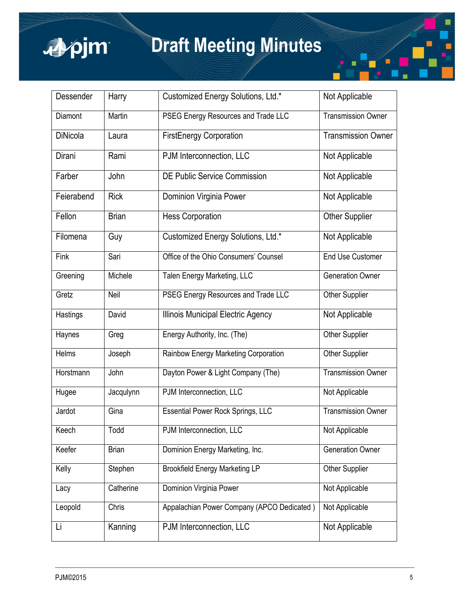

| Dessender       | Harry        | Customized Energy Solutions, Ltd.*         | Not Applicable            |
|-----------------|--------------|--------------------------------------------|---------------------------|
| Diamont         | Martin       | PSEG Energy Resources and Trade LLC        | <b>Transmission Owner</b> |
| <b>DiNicola</b> | Laura        | <b>FirstEnergy Corporation</b>             | <b>Transmission Owner</b> |
| Dirani          | Rami         | PJM Interconnection, LLC                   | Not Applicable            |
| Farber          | John         | DE Public Service Commission               | Not Applicable            |
| Feierabend      | <b>Rick</b>  | Dominion Virginia Power                    | Not Applicable            |
| Fellon          | <b>Brian</b> | <b>Hess Corporation</b>                    | <b>Other Supplier</b>     |
| Filomena        | Guy          | Customized Energy Solutions, Ltd.*         | Not Applicable            |
| Fink            | Sari         | Office of the Ohio Consumers' Counsel      | <b>End Use Customer</b>   |
| Greening        | Michele      | Talen Energy Marketing, LLC                | <b>Generation Owner</b>   |
| Gretz           | Neil         | PSEG Energy Resources and Trade LLC        | Other Supplier            |
| Hastings        | David        | Illinois Municipal Electric Agency         | Not Applicable            |
| Haynes          | Greg         | Energy Authority, Inc. (The)               | Other Supplier            |
| Helms           | Joseph       | Rainbow Energy Marketing Corporation       | Other Supplier            |
| Horstmann       | John         | Dayton Power & Light Company (The)         | Transmission Owner        |
| Hugee           | Jacqulynn    | PJM Interconnection, LLC                   | Not Applicable            |
| Jardot          | Gina         | <b>Essential Power Rock Springs, LLC</b>   | <b>Transmission Owner</b> |
| Keech           | Todd         | PJM Interconnection, LLC                   | Not Applicable            |
| Keefer          | <b>Brian</b> | Dominion Energy Marketing, Inc.            | <b>Generation Owner</b>   |
| Kelly           | Stephen      | <b>Brookfield Energy Marketing LP</b>      | Other Supplier            |
| Lacy            | Catherine    | Dominion Virginia Power                    | Not Applicable            |
| Leopold         | Chris        | Appalachian Power Company (APCO Dedicated) | Not Applicable            |
| Li              | Kanning      | PJM Interconnection, LLC                   | Not Applicable            |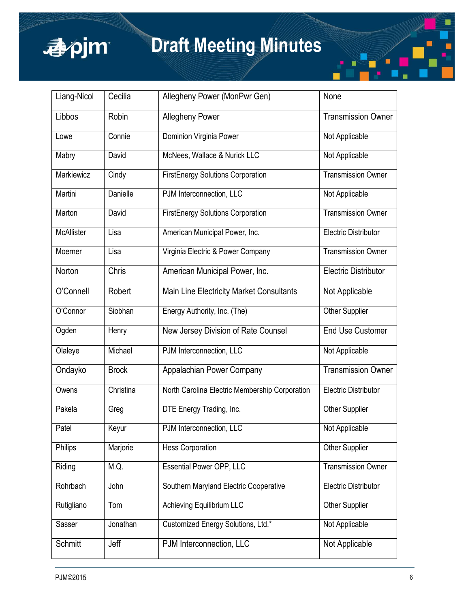

| Liang-Nicol       | Cecilia      | Allegheny Power (MonPwr Gen)                    | None                        |
|-------------------|--------------|-------------------------------------------------|-----------------------------|
| Libbos            | Robin        | <b>Allegheny Power</b>                          | <b>Transmission Owner</b>   |
| Lowe              | Connie       | Dominion Virginia Power                         | Not Applicable              |
| Mabry             | David        | McNees, Wallace & Nurick LLC                    | Not Applicable              |
| Markiewicz        | Cindy        | <b>FirstEnergy Solutions Corporation</b>        | <b>Transmission Owner</b>   |
| Martini           | Danielle     | PJM Interconnection, LLC                        | Not Applicable              |
| Marton            | David        | <b>FirstEnergy Solutions Corporation</b>        | <b>Transmission Owner</b>   |
| <b>McAllister</b> | Lisa         | American Municipal Power, Inc.                  | <b>Electric Distributor</b> |
| Moerner           | Lisa         | Virginia Electric & Power Company               | <b>Transmission Owner</b>   |
| Norton            | Chris        | American Municipal Power, Inc.                  | <b>Electric Distributor</b> |
| O'Connell         | Robert       | <b>Main Line Electricity Market Consultants</b> | Not Applicable              |
| O'Connor          | Siobhan      | Energy Authority, Inc. (The)                    | Other Supplier              |
| Ogden             | Henry        | New Jersey Division of Rate Counsel             | <b>End Use Customer</b>     |
| Olaleye           | Michael      | PJM Interconnection, LLC                        | Not Applicable              |
| Ondayko           | <b>Brock</b> | Appalachian Power Company                       | <b>Transmission Owner</b>   |
| Owens             | Christina    | North Carolina Electric Membership Corporation  | <b>Electric Distributor</b> |
| Pakela            | Greg         | DTE Energy Trading, Inc.                        | Other Supplier              |
| Patel             | Keyur        | PJM Interconnection, LLC                        | Not Applicable              |
| Philips           | Marjorie     | <b>Hess Corporation</b>                         | Other Supplier              |
| Riding            | M.Q.         | <b>Essential Power OPP, LLC</b>                 | <b>Transmission Owner</b>   |
| Rohrbach          | John         | Southern Maryland Electric Cooperative          | <b>Electric Distributor</b> |
| Rutigliano        | Tom          | Achieving Equilibrium LLC                       | Other Supplier              |
| Sasser            | Jonathan     | Customized Energy Solutions, Ltd.*              | Not Applicable              |
| Schmitt           | Jeff         | PJM Interconnection, LLC                        | Not Applicable              |